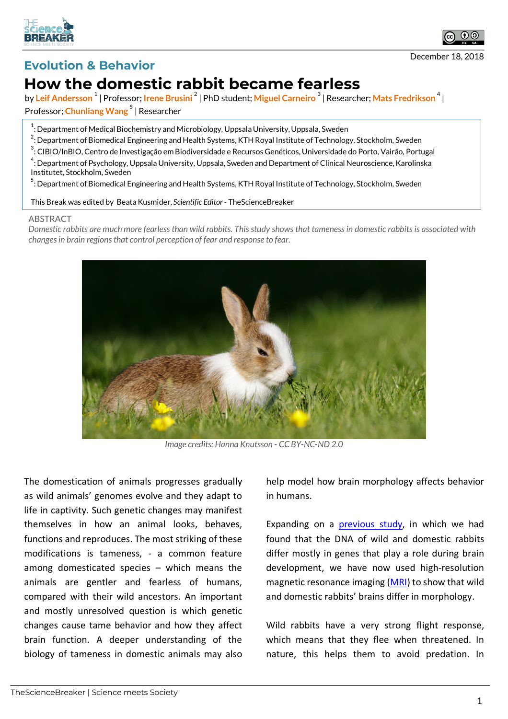



## **Evolution & Behavior**

## **How the domestic rabbit became fearless**

by **Leif Andersson <sup>1</sup>** | Professor; **Irene Brusini <sup>2</sup>** | PhD student; **Miguel Carneiro <sup>3</sup>** | Researcher; **Mats Fredrikson <sup>4</sup>** | Professor; **Chunliang Wang <sup>5</sup>** | Researcher

 $^{\rm 1}$ : Department of Medical Biochemistry and Microbiology, Uppsala University, Uppsala, Sweden

 $^2$ : Department of Biomedical Engineering and Health Systems, KTH Royal Institute of Technology, Stockholm, Sweden

<sup>3</sup>: CIBIO/InBIO, Centro de Investigação em Biodiversidade e Recursos Genéticos, Universidade do Porto, Vairão, Portugal  $^4$ : Department of Psychology, Uppsala University, Uppsala, Sweden and Department of Clinical Neuroscience, Karolinska Institutet, Stockholm, Sweden

<sup>5</sup> : Department of Biomedical Engineering and Health Systems, KTH Royal Institute of Technology, Stockholm, Sweden

This Break was edited by Beata Kusmider, *Scientific Editor*- TheScienceBreaker

## ABSTRACT

*Domestic rabbits are much more fearless than wild rabbits. This study shows that tameness in domestic rabbits is associated with changes in brain regions that control perception of fear and response to fear.*



*Image credits: Hanna Knutsson - CC BY-NC-ND 2.0*

The domestication of animals progresses gradually as wild animals' genomes evolve and they adapt to life in captivity. Such genetic changes may manifest themselves in how an animal looks, behaves, functions and reproduces. The most striking of these modifications is tameness, - a common feature among domesticated species – which means the animals are gentler and fearless of humans, compared with their wild ancestors. An important and mostly unresolved question is which genetic changes cause tame behavior and how they affect brain function. A deeper understanding of the biology of tameness in domestic animals may also

help model how brain morphology affects behavior in humans.

Expanding on a previous study, in which we had found that the DNA of wild and domestic rabbits differ mostly in genes that play a role during brain development, we have now used high-resolution magnetic resonance imaging (MRI) to show that wild and domestic rabbits' brains differ in morphology.

Wild rabbits have a very strong flight response, which means that they flee when threatened. In nature, this helps them to avoid predation. In